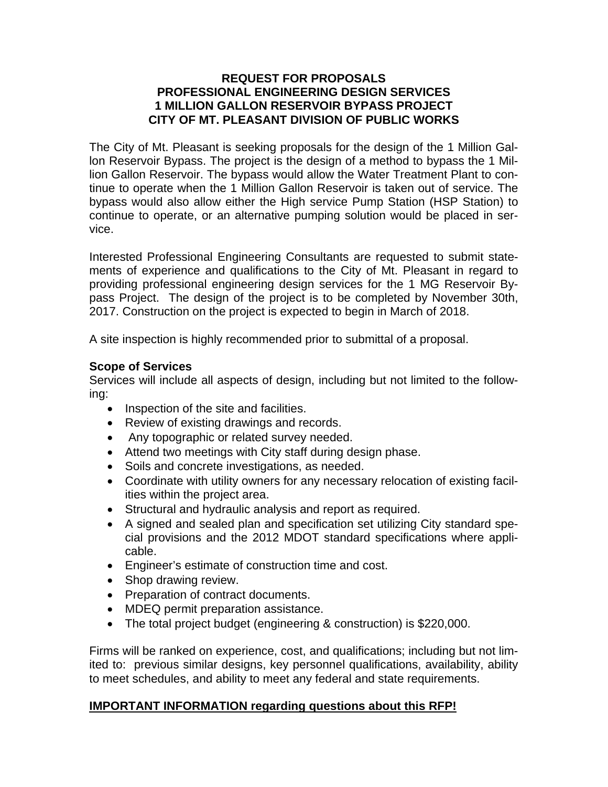#### **REQUEST FOR PROPOSALS PROFESSIONAL ENGINEERING DESIGN SERVICES 1 MILLION GALLON RESERVOIR BYPASS PROJECT CITY OF MT. PLEASANT DIVISION OF PUBLIC WORKS**

The City of Mt. Pleasant is seeking proposals for the design of the 1 Million Gallon Reservoir Bypass. The project is the design of a method to bypass the 1 Million Gallon Reservoir. The bypass would allow the Water Treatment Plant to continue to operate when the 1 Million Gallon Reservoir is taken out of service. The bypass would also allow either the High service Pump Station (HSP Station) to continue to operate, or an alternative pumping solution would be placed in service.

Interested Professional Engineering Consultants are requested to submit statements of experience and qualifications to the City of Mt. Pleasant in regard to providing professional engineering design services for the 1 MG Reservoir Bypass Project. The design of the project is to be completed by November 30th, 2017. Construction on the project is expected to begin in March of 2018.

A site inspection is highly recommended prior to submittal of a proposal.

## **Scope of Services**

Services will include all aspects of design, including but not limited to the following:

- Inspection of the site and facilities.
- Review of existing drawings and records.
- Any topographic or related survey needed.
- Attend two meetings with City staff during design phase.
- Soils and concrete investigations, as needed.
- Coordinate with utility owners for any necessary relocation of existing facilities within the project area.
- Structural and hydraulic analysis and report as required.
- A signed and sealed plan and specification set utilizing City standard special provisions and the 2012 MDOT standard specifications where applicable.
- Engineer's estimate of construction time and cost.
- Shop drawing review.
- Preparation of contract documents.
- MDEQ permit preparation assistance.
- The total project budget (engineering & construction) is \$220,000.

Firms will be ranked on experience, cost, and qualifications; including but not limited to: previous similar designs, key personnel qualifications, availability, ability to meet schedules, and ability to meet any federal and state requirements.

### **IMPORTANT INFORMATION regarding questions about this RFP!**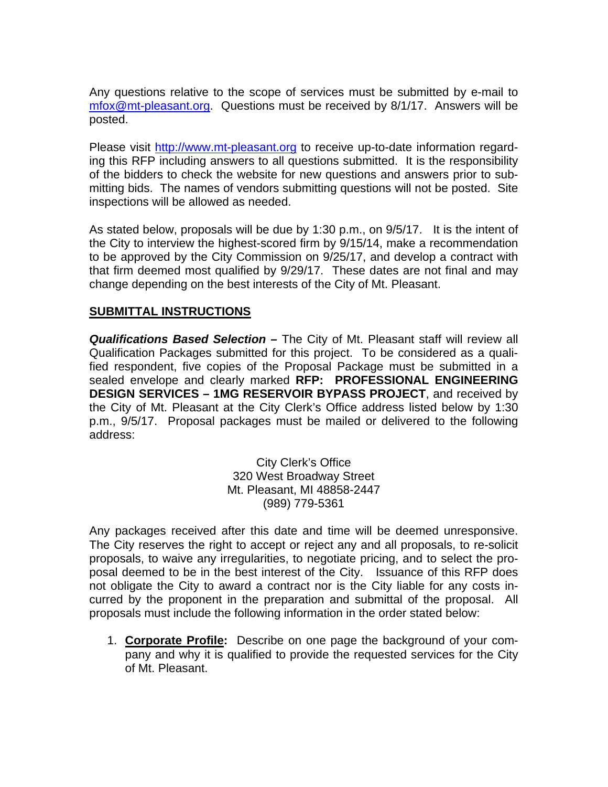Any questions relative to the scope of services must be submitted by e-mail to mfox@mt-pleasant.org. Questions must be received by 8/1/17. Answers will be posted.

Please visit http://www.mt-pleasant.org to receive up-to-date information regarding this RFP including answers to all questions submitted. It is the responsibility of the bidders to check the website for new questions and answers prior to submitting bids. The names of vendors submitting questions will not be posted. Site inspections will be allowed as needed.

As stated below, proposals will be due by 1:30 p.m., on 9/5/17. It is the intent of the City to interview the highest-scored firm by 9/15/14, make a recommendation to be approved by the City Commission on 9/25/17, and develop a contract with that firm deemed most qualified by 9/29/17. These dates are not final and may change depending on the best interests of the City of Mt. Pleasant.

### **SUBMITTAL INSTRUCTIONS**

*Qualifications Based Selection –* The City of Mt. Pleasant staff will review all Qualification Packages submitted for this project. To be considered as a qualified respondent, five copies of the Proposal Package must be submitted in a sealed envelope and clearly marked **RFP: PROFESSIONAL ENGINEERING DESIGN SERVICES – 1MG RESERVOIR BYPASS PROJECT**, and received by the City of Mt. Pleasant at the City Clerk's Office address listed below by 1:30 p.m., 9/5/17. Proposal packages must be mailed or delivered to the following address:

> City Clerk's Office 320 West Broadway Street Mt. Pleasant, MI 48858-2447 (989) 779-5361

Any packages received after this date and time will be deemed unresponsive. The City reserves the right to accept or reject any and all proposals, to re-solicit proposals, to waive any irregularities, to negotiate pricing, and to select the proposal deemed to be in the best interest of the City. Issuance of this RFP does not obligate the City to award a contract nor is the City liable for any costs incurred by the proponent in the preparation and submittal of the proposal. All proposals must include the following information in the order stated below:

1. **Corporate Profile:** Describe on one page the background of your company and why it is qualified to provide the requested services for the City of Mt. Pleasant.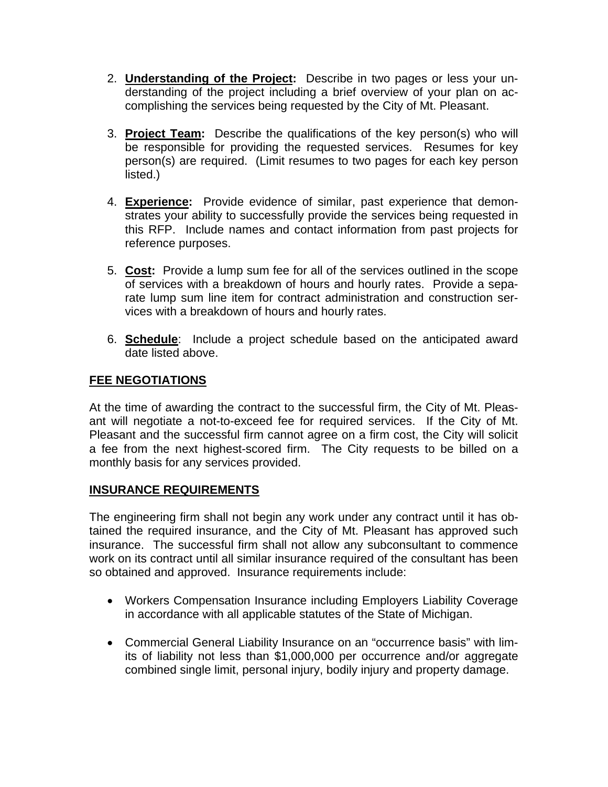- 2. **Understanding of the Project:** Describe in two pages or less your understanding of the project including a brief overview of your plan on accomplishing the services being requested by the City of Mt. Pleasant.
- 3. **Project Team:** Describe the qualifications of the key person(s) who will be responsible for providing the requested services. Resumes for key person(s) are required. (Limit resumes to two pages for each key person listed.)
- 4. **Experience:** Provide evidence of similar, past experience that demonstrates your ability to successfully provide the services being requested in this RFP. Include names and contact information from past projects for reference purposes.
- 5. **Cost:** Provide a lump sum fee for all of the services outlined in the scope of services with a breakdown of hours and hourly rates. Provide a separate lump sum line item for contract administration and construction services with a breakdown of hours and hourly rates.
- 6. **Schedule**: Include a project schedule based on the anticipated award date listed above.

# **FEE NEGOTIATIONS**

At the time of awarding the contract to the successful firm, the City of Mt. Pleasant will negotiate a not-to-exceed fee for required services. If the City of Mt. Pleasant and the successful firm cannot agree on a firm cost, the City will solicit a fee from the next highest-scored firm. The City requests to be billed on a monthly basis for any services provided.

### **INSURANCE REQUIREMENTS**

The engineering firm shall not begin any work under any contract until it has obtained the required insurance, and the City of Mt. Pleasant has approved such insurance. The successful firm shall not allow any subconsultant to commence work on its contract until all similar insurance required of the consultant has been so obtained and approved. Insurance requirements include:

- Workers Compensation Insurance including Employers Liability Coverage in accordance with all applicable statutes of the State of Michigan.
- Commercial General Liability Insurance on an "occurrence basis" with limits of liability not less than \$1,000,000 per occurrence and/or aggregate combined single limit, personal injury, bodily injury and property damage.